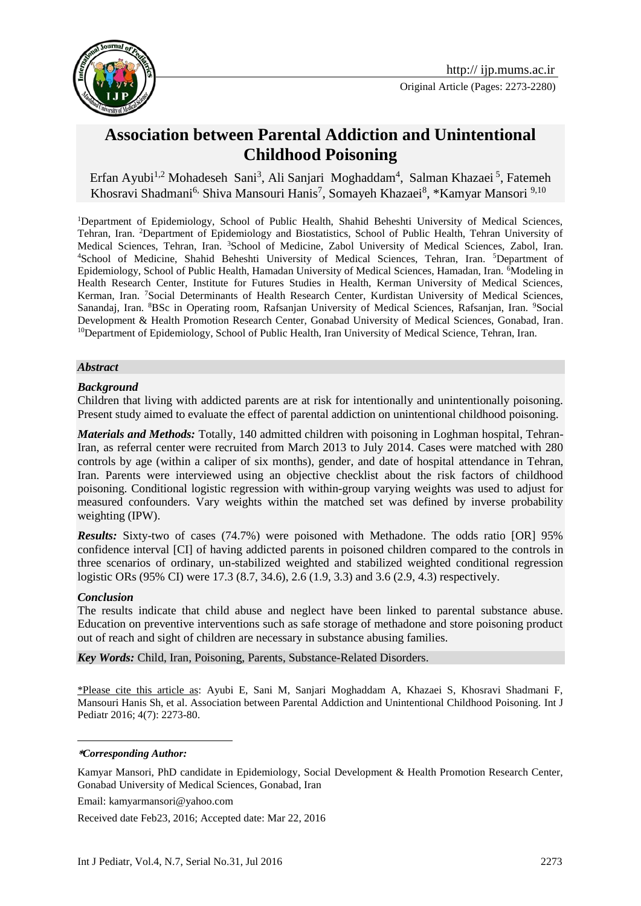

Original Article (Pages: 2273-2280)

# **Association between Parental Addiction and Unintentional Childhood Poisoning**

Erfan Ayubi<sup>1,2</sup> Mohadeseh Sani<sup>3</sup>, Ali Sanjari Moghaddam<sup>4</sup>, Salman Khazaei<sup>5</sup>, Fatemeh Khosravi Shadmani<sup>6,</sup> Shiva Mansouri Hanis<sup>7</sup>, Somayeh Khazaei<sup>8</sup>, \*Kamyar Mansori <sup>9,10</sup>

<sup>1</sup>Department of Epidemiology, School of Public Health, Shahid Beheshti University of Medical Sciences, Tehran, Iran. <sup>2</sup>Department of Epidemiology and Biostatistics, School of Public Health, Tehran University of Medical Sciences, Tehran, Iran. <sup>3</sup>School of Medicine, Zabol University of Medical Sciences, Zabol, Iran. <sup>4</sup>School of Medicine, Shahid Beheshti University of Medical Sciences, Tehran, Iran. <sup>5</sup>Department of Epidemiology, School of Public Health, Hamadan University of Medical Sciences, Hamadan, Iran. <sup>6</sup>Modeling in Health Research Center, Institute for Futures Studies in Health, Kerman University of Medical Sciences, Kerman, Iran. <sup>7</sup>Social Determinants of Health Research Center, Kurdistan University of Medical Sciences, Sanandaj, Iran. <sup>8</sup>BSc in Operating room, Rafsanjan University of Medical Sciences, Rafsanjan, Iran. <sup>9</sup>Social Development & Health Promotion Research Center, Gonabad University of Medical Sciences, Gonabad, Iran. <sup>10</sup>Department of Epidemiology, School of Public Health, Iran University of Medical Science, Tehran, Iran.

#### *Abstract*

#### *Background*

Children that living with addicted parents are at risk for intentionally and unintentionally poisoning. Present study aimed to evaluate the effect of parental addiction on unintentional childhood poisoning.

*Materials and Methods:* Totally, 140 admitted children with poisoning in Loghman hospital, Tehran-Iran, as referral center were recruited from March 2013 to July 2014. Cases were matched with 280 controls by age (within a caliper of six months), gender, and date of hospital attendance in Tehran, Iran. Parents were interviewed using an objective checklist about the risk factors of childhood poisoning. Conditional logistic regression with within-group varying weights was used to adjust for measured confounders. Vary weights within the matched set was defined by inverse probability weighting (IPW).

*Results:* Sixty-two of cases (74.7%) were poisoned with Methadone. The odds ratio [OR] 95% confidence interval [CI] of having addicted parents in poisoned children compared to the controls in three scenarios of ordinary, un-stabilized weighted and stabilized weighted conditional regression logistic ORs (95% CI) were 17.3 (8.7, 34.6), 2.6 (1.9, 3.3) and 3.6 (2.9, 4.3) respectively.

#### *Conclusion*

1

The results indicate that child abuse and neglect have been linked to parental substance abuse. Education on preventive interventions such as safe storage of methadone and store poisoning product out of reach and sight of children are necessary in substance abusing families.

*Key Words:* Child, Iran, Poisoning, Parents, Substance-Related Disorders.

\*Please cite this article as: Ayubi E, Sani M, Sanjari Moghaddam A, Khazaei S, Khosravi Shadmani F, Mansouri Hanis Sh, et al. Association between Parental Addiction and Unintentional Childhood Poisoning. Int J Pediatr 2016; 4(7): 2273-80.

#### **\****Corresponding Author:*

Kamyar Mansori, PhD candidate in Epidemiology, Social Development & Health Promotion Research Center, Gonabad University of Medical Sciences, Gonabad, Iran

Email: [kamyarmansori@yahoo.com](mailto:kamyarmansori@yahoo.com)

Received date Feb23, 2016; Accepted date: Mar 22, 2016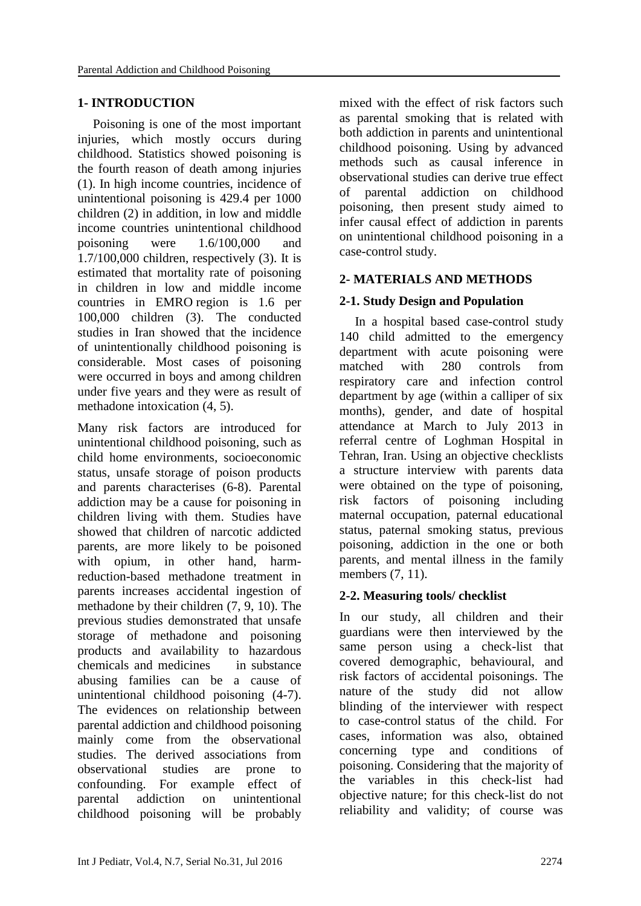#### **1- INTRODUCTION**

Poisoning is one of the most important injuries, which mostly occurs during childhood. Statistics showed poisoning is the fourth reason of death among injuries [\(1\)](#page-6-0). In high income countries, incidence of unintentional poisoning is 429.4 per 1000 children [\(2\)](#page-6-1) in addition, in low and middle income countries unintentional childhood poisoning were 1.6/100,000 and 1.7/100,000 children, respectively [\(3\)](#page-6-2). It is estimated that mortality rate of poisoning in children in low and middle income countries in EMRO region is 1.6 per 100,000 children [\(3\)](#page-6-2). The conducted studies in Iran showed that the incidence of unintentionally childhood poisoning is considerable. Most cases of poisoning were occurred in boys and among children under five years and they were as result of methadone intoxication [\(4,](#page-6-3) [5\)](#page-6-4).

Many risk factors are introduced for unintentional childhood poisoning, such as child home environments, socioeconomic status, unsafe storage of poison products and parents characterises [\(6-8\)](#page-6-5). Parental addiction may be a cause for poisoning in children living with them. Studies have showed that children of narcotic addicted parents, are more likely to be poisoned with opium, in other hand, harmreduction-based methadone treatment in parents increases accidental ingestion of methadone by their children [\(7,](#page-6-6) [9,](#page-6-7) [10\)](#page-6-8). The previous studies demonstrated that unsafe storage of methadone and poisoning products and availability to hazardous chemicals and medicines in substance abusing families can be a cause of unintentional childhood poisoning [\(4-7\)](#page-6-3). The evidences on relationship between parental addiction and childhood poisoning mainly come from the observational studies. The derived associations from observational studies are prone to confounding. For example effect of parental addiction on unintentional childhood poisoning will be probably mixed with the effect of risk factors such as parental smoking that is related with both addiction in parents and unintentional childhood poisoning. Using by advanced methods such as causal inference in observational studies can derive true effect of parental addiction on childhood poisoning, then present study aimed to infer causal effect of addiction in parents on unintentional childhood poisoning in a case-control study.

# **2- MATERIALS AND METHODS**

# **2-1. Study Design and Population**

In a hospital based case-control study 140 child admitted to the emergency department with acute poisoning were matched with 280 controls from respiratory care and infection control department by age (within a calliper of six months), gender, and date of hospital attendance at March to July 2013 in referral centre of Loghman Hospital in Tehran, Iran. Using an objective checklists a structure interview with parents data were obtained on the type of poisoning, risk factors of poisoning including maternal occupation, paternal educational status, paternal smoking status, previous poisoning, addiction in the one or both parents, and mental illness in the family members [\(7,](#page-6-6) [11\)](#page-6-9).

### **2-2. Measuring tools/ checklist**

In our study, all children and their guardians were then interviewed by the same person using a check-list that covered demographic, behavioural, and risk factors of accidental poisonings. The nature of the study did not allow blinding of the interviewer with respect to case-control status of the child. For cases, information was also, obtained concerning type and conditions of poisoning. Considering that the majority of the variables in this check-list had objective nature; for this check-list do not reliability and validity; of course was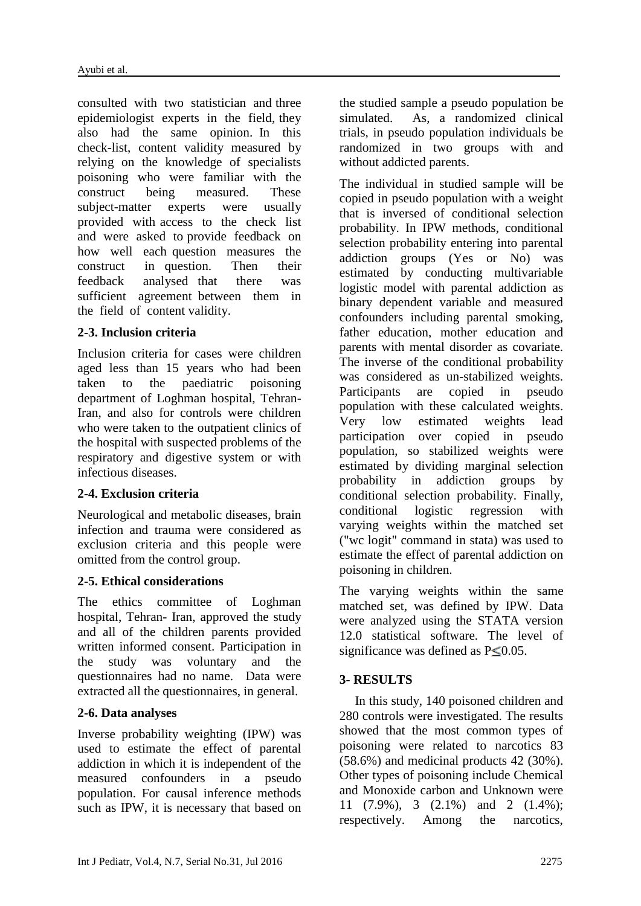consulted with two statistician and three epidemiologist experts in the field, they also had the same opinion. In this check-list, content validity measured by relying on the knowledge of specialists poisoning who were familiar with the construct being measured. These subject-matter experts were usually provided with access to the check list and were asked to provide feedback on how well each question measures the construct in question. Then their feedback analysed that there was sufficient agreement between them in the field of content validity.

### **2-3. Inclusion criteria**

Inclusion criteria for cases were children aged less than 15 years who had been taken to the paediatric poisoning department of Loghman hospital, Tehran-Iran, and also for controls were children who were taken to the outpatient clinics of the hospital with suspected problems of the respiratory and digestive system or with infectious diseases.

### **2-4. Exclusion criteria**

Neurological and metabolic diseases, brain infection and trauma were considered as exclusion criteria and this people were omitted from the control group.

### **2-5. Ethical considerations**

The ethics committee of Loghman hospital, Tehran- Iran, approved the study and all of the children parents provided written informed consent. Participation in the study was voluntary and the questionnaires had no name. Data were extracted all the questionnaires, in general.

# **2-6. Data analyses**

Inverse probability weighting (IPW) was used to estimate the effect of parental addiction in which it is independent of the measured confounders in a pseudo population. For causal inference methods such as IPW, it is necessary that based on the studied sample a pseudo population be simulated. As, a randomized clinical trials, in pseudo population individuals be randomized in two groups with and without addicted parents.

The individual in studied sample will be copied in pseudo population with a weight that is inversed of conditional selection probability. In IPW methods, conditional selection probability entering into parental addiction groups (Yes or No) was estimated by conducting multivariable logistic model with parental addiction as binary dependent variable and measured confounders including parental smoking, father education, mother education and parents with mental disorder as covariate. The inverse of the conditional probability was considered as un-stabilized weights. Participants are copied in pseudo population with these calculated weights. Very low estimated weights lead participation over copied in pseudo population, so stabilized weights were estimated by dividing marginal selection probability in addiction groups by conditional selection probability. Finally, conditional logistic regression with varying weights within the matched set ("wc logit" command in stata) was used to estimate the effect of parental addiction on poisoning in children.

The varying weights within the same matched set, was defined by IPW. Data were analyzed using the STATA version 12.0 statistical software. The level of significance was defined as  $P \le 0.05$ .

# **3- RESULTS**

In this study, 140 poisoned children and 280 controls were investigated. The results showed that the most common types of poisoning were related to narcotics 83  $(58.6\%)$  and medicinal products 42  $(30\%)$ . Other types of poisoning include Chemical and Monoxide carbon and Unknown were 11 (7.9%), 3 (2.1%) and 2 (1.4%); respectively. Among the narcotics,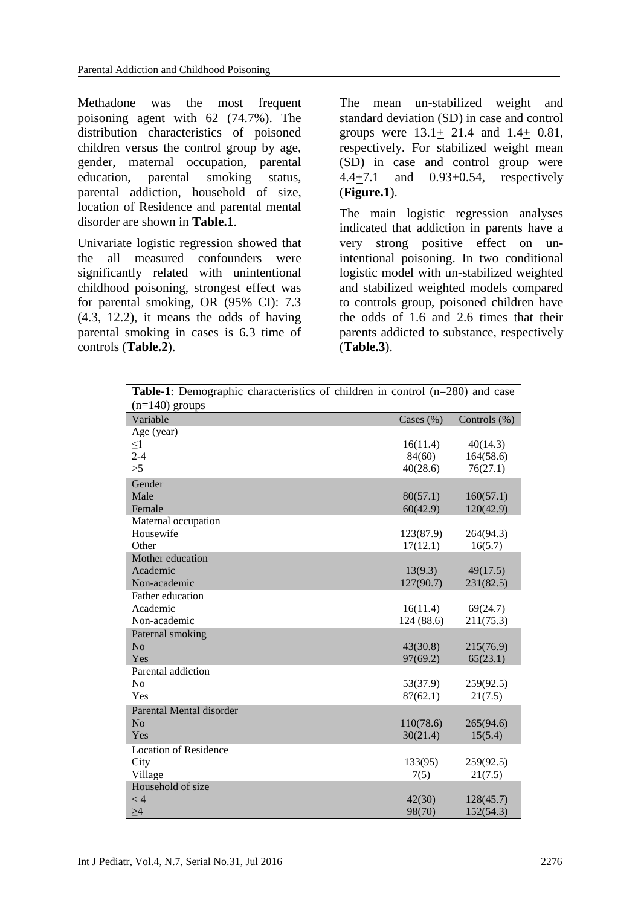Methadone was the most frequent poisoning agent with 62 (74.7%). The distribution characteristics of poisoned children versus the control group by age, gender, maternal occupation, parental education, parental smoking status, parental addiction, household of size, location of Residence and parental mental disorder are shown in **Table.1**.

Univariate logistic regression showed that the all measured confounders were significantly related with unintentional childhood poisoning, strongest effect was for parental smoking, OR (95% CI): 7.3 (4.3, 12.2), it means the odds of having parental smoking in cases is 6.3 time of controls (**Table.2**).

The mean un-stabilized weight and standard deviation (SD) in case and control groups were 13.1+ 21.4 and 1.4+ 0.81, respectively. For stabilized weight mean (SD) in case and control group were 4.4+7.1 and 0.93+0.54, respectively (**Figure.1**).

The main logistic regression analyses indicated that addiction in parents have a very strong positive effect on unintentional poisoning. In two conditional logistic model with un-stabilized weighted and stabilized weighted models compared to controls group, poisoned children have the odds of 1.6 and 2.6 times that their parents addicted to substance, respectively (**Table.3**).

| <b>Table-1</b> : Demographic characteristics of children in control $(n=280)$ and case |               |                 |
|----------------------------------------------------------------------------------------|---------------|-----------------|
| $(n=140)$ groups                                                                       |               |                 |
| Variable                                                                               | Cases $(\% )$ | Controls $(\%)$ |
| Age (year)                                                                             |               |                 |
| $\leq1$                                                                                | 16(11.4)      | 40(14.3)        |
| $2 - 4$                                                                                | 84(60)        | 164(58.6)       |
| >5                                                                                     | 40(28.6)      | 76(27.1)        |
| Gender                                                                                 |               |                 |
| Male                                                                                   | 80(57.1)      | 160(57.1)       |
| Female                                                                                 | 60(42.9)      | 120(42.9)       |
| Maternal occupation                                                                    |               |                 |
| Housewife                                                                              | 123(87.9)     | 264(94.3)       |
| Other                                                                                  | 17(12.1)      | 16(5.7)         |
| Mother education                                                                       |               |                 |
| Academic                                                                               | 13(9.3)       | 49(17.5)        |
| Non-academic                                                                           | 127(90.7)     | 231(82.5)       |
| Father education                                                                       |               |                 |
| Academic                                                                               | 16(11.4)      | 69(24.7)        |
| Non-academic                                                                           | 124 (88.6)    | 211(75.3)       |
| Paternal smoking                                                                       |               |                 |
| No                                                                                     | 43(30.8)      | 215(76.9)       |
| Yes                                                                                    | 97(69.2)      | 65(23.1)        |
| Parental addiction                                                                     |               |                 |
| N <sub>0</sub>                                                                         | 53(37.9)      | 259(92.5)       |
| Yes                                                                                    | 87(62.1)      | 21(7.5)         |
| Parental Mental disorder                                                               |               |                 |
| N <sub>o</sub>                                                                         | 110(78.6)     | 265(94.6)       |
| Yes                                                                                    | 30(21.4)      | 15(5.4)         |
| <b>Location of Residence</b>                                                           |               |                 |
| City                                                                                   | 133(95)       | 259(92.5)       |
| Village                                                                                | 7(5)          | 21(7.5)         |
| Household of size                                                                      |               |                 |
| < 4                                                                                    | 42(30)        | 128(45.7)       |
| >4                                                                                     | 98(70)        | 152(54.3)       |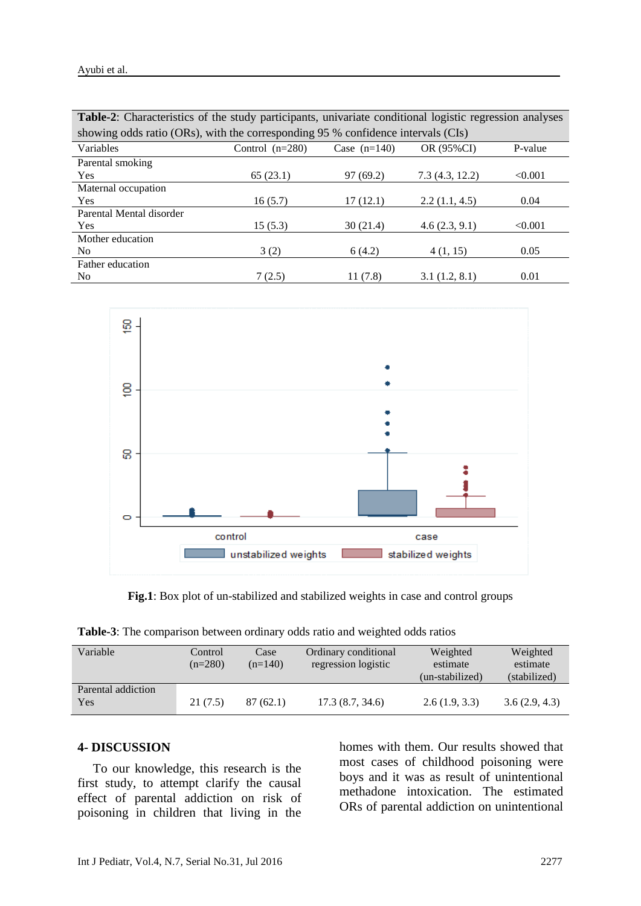| <b>Table-2:</b> Characteristics of the study participants, univariate conditional logistic regression analyses |                   |                |                |         |  |  |  |
|----------------------------------------------------------------------------------------------------------------|-------------------|----------------|----------------|---------|--|--|--|
| showing odds ratio (ORs), with the corresponding 95 % confidence intervals (CIs)                               |                   |                |                |         |  |  |  |
| Variables                                                                                                      | Control $(n=280)$ | Case $(n=140)$ | OR (95%CI)     | P-value |  |  |  |
| Parental smoking                                                                                               |                   |                |                |         |  |  |  |
| <b>Yes</b>                                                                                                     | 65(23.1)          | 97(69.2)       | 7.3(4.3, 12.2) | < 0.001 |  |  |  |
| Maternal occupation                                                                                            |                   |                |                |         |  |  |  |
| <b>Yes</b>                                                                                                     | 16(5.7)           | 17(12.1)       | 2.2(1.1, 4.5)  | 0.04    |  |  |  |
| Parental Mental disorder                                                                                       |                   |                |                |         |  |  |  |
| <b>Yes</b>                                                                                                     | 15(5.3)           | 30(21.4)       | 4.6(2.3, 9.1)  | < 0.001 |  |  |  |
| Mother education                                                                                               |                   |                |                |         |  |  |  |
| N <sub>0</sub>                                                                                                 | 3(2)              | 6(4.2)         | 4(1, 15)       | 0.05    |  |  |  |
| Father education                                                                                               |                   |                |                |         |  |  |  |
| No                                                                                                             | 7(2.5)            | 11(7.8)        | 3.1(1.2, 8.1)  | 0.01    |  |  |  |



**Fig.1**: Box plot of un-stabilized and stabilized weights in case and control groups

**Table-3**: The comparison between ordinary odds ratio and weighted odds ratios

| Variable                  | Control<br>$(n=280)$ | Case<br>$(n=140)$ | Ordinary conditional<br>regression logistic | Weighted<br>estimate<br>(un-stabilized) | Weighted<br>estimate<br>(stabilized) |
|---------------------------|----------------------|-------------------|---------------------------------------------|-----------------------------------------|--------------------------------------|
| Parental addiction<br>Yes | 21 (7.5)             | 87(62.1)          | 17.3(8.7, 34.6)                             | 2.6(1.9, 3.3)                           | 3.6(2.9, 4.3)                        |

#### **4- DISCUSSION**

To our knowledge, this research is the first study, to attempt clarify the causal effect of parental addiction on risk of poisoning in children that living in the homes with them. Our results showed that most cases of childhood poisoning were boys and it was as result of unintentional methadone intoxication. The estimated ORs of parental addiction on unintentional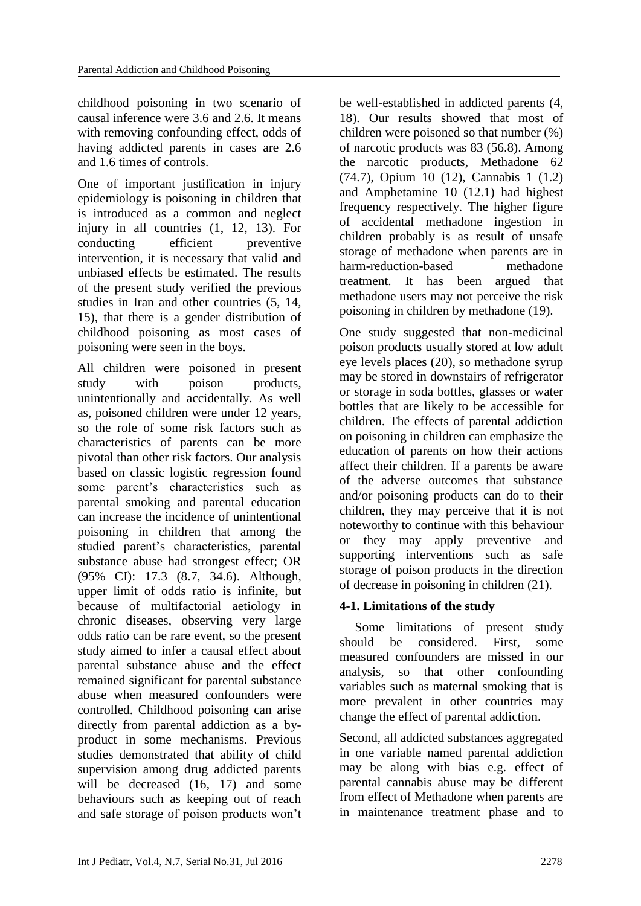childhood poisoning in two scenario of causal inference were 3.6 and 2.6. It means with removing confounding effect, odds of having addicted parents in cases are 2.6 and 1.6 times of controls.

One of important justification in injury epidemiology is poisoning in children that is introduced as a common and neglect injury in all countries [\(1,](#page-6-0) [12,](#page-6-10) [13\)](#page-6-11). For conducting efficient preventive intervention, it is necessary that valid and unbiased effects be estimated. The results of the present study verified the previous studies in Iran and other countries [\(5,](#page-6-4) [14,](#page-6-12) [15\)](#page-6-13), that there is a gender distribution of childhood poisoning as most cases of poisoning were seen in the boys.

All children were poisoned in present study with poison products. unintentionally and accidentally. As well as, poisoned children were under 12 years, so the role of some risk factors such as characteristics of parents can be more pivotal than other risk factors. Our analysis based on classic logistic regression found some parent's characteristics such as parental smoking and parental education can increase the incidence of unintentional poisoning in children that among the studied parent's characteristics, parental substance abuse had strongest effect; OR (95% CI): 17.3 (8.7, 34.6). Although, upper limit of odds ratio is infinite, but because of multifactorial aetiology in chronic diseases, observing very large odds ratio can be rare event, so the present study aimed to infer a causal effect about parental substance abuse and the effect remained significant for parental substance abuse when measured confounders were controlled. Childhood poisoning can arise directly from parental addiction as a byproduct in some mechanisms. Previous studies demonstrated that ability of child supervision among drug addicted parents will be decreased [\(16,](#page-6-14) [17\)](#page-7-0) and some behaviours such as keeping out of reach and safe storage of poison products won't be well-established in addicted parents [\(4,](#page-6-3) [18\)](#page-7-1). Our results showed that most of children were poisoned so that number (%) of narcotic products was 83 (56.8). Among the narcotic products, Methadone 62 (74.7), Opium 10 (12), Cannabis 1 (1.2) and Amphetamine 10 (12.1) had highest frequency respectively. The higher figure of accidental methadone ingestion in children probably is as result of unsafe storage of methadone when parents are in harm-reduction-based methadone treatment. It has been argued that methadone users may not perceive the risk poisoning in children by methadone [\(19\)](#page-7-2).

One study suggested that non-medicinal poison products usually stored at low adult eye levels places [\(20\)](#page-7-3), so methadone syrup may be stored in downstairs of refrigerator or storage in soda bottles, glasses or water bottles that are likely to be accessible for children. The effects of parental addiction on poisoning in children can emphasize the education of parents on how their actions affect their children. If a parents be aware of the adverse outcomes that substance and/or poisoning products can do to their children, they may perceive that it is not noteworthy to continue with this behaviour or they may apply preventive and supporting interventions such as safe storage of poison products in the direction of decrease in poisoning in children [\(21\)](#page-7-4).

### **4-1. Limitations of the study**

Some limitations of present study should be considered. First, some measured confounders are missed in our analysis, so that other confounding variables such as maternal smoking that is more prevalent in other countries may change the effect of parental addiction.

Second, all addicted substances aggregated in one variable named parental addiction may be along with bias e.g. effect of parental cannabis abuse may be different from effect of Methadone when parents are in maintenance treatment phase and to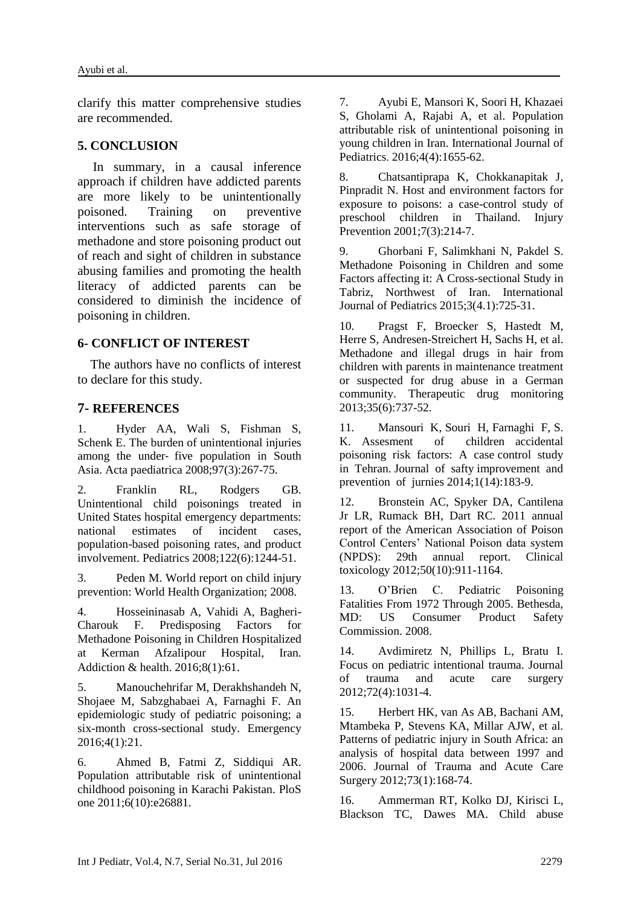clarify this matter comprehensive studies are recommended.

#### **5. CONCLUSION**

In summary, in a causal inference approach if children have addicted parents are more likely to be unintentionally poisoned. Training on preventive interventions such as safe storage of methadone and store poisoning product out of reach and sight of children in substance abusing families and promoting the health literacy of addicted parents can be considered to diminish the incidence of poisoning in children.

# **6- CONFLICT OF INTEREST**

 The authors have no conflicts of interest to declare for this study.

# **7- REFERENCES**

<span id="page-6-0"></span>1. Hyder AA, Wali S, Fishman S, Schenk E. The burden of unintentional injuries among the under‐ five population in South Asia. Acta paediatrica 2008;97(3):267-75.

<span id="page-6-1"></span>2. Franklin RL, Rodgers GB. Unintentional child poisonings treated in United States hospital emergency departments: national estimates of incident cases, population-based poisoning rates, and product involvement. Pediatrics 2008;122(6):1244-51.

<span id="page-6-2"></span>3. Peden M. World report on child injury prevention: World Health Organization; 2008.

<span id="page-6-3"></span>4. Hosseininasab A, Vahidi A, Bagheri-Charouk F. Predisposing Factors for Methadone Poisoning in Children Hospitalized at Kerman Afzalipour Hospital, Iran. Addiction & health. 2016;8(1):61.

<span id="page-6-4"></span>5. Manouchehrifar M, Derakhshandeh N, Shojaee M, Sabzghabaei A, Farnaghi F. An epidemiologic study of pediatric poisoning; a six-month cross-sectional study. Emergency 2016;4(1):21.

<span id="page-6-5"></span>6. Ahmed B, Fatmi Z, Siddiqui AR. Population attributable risk of unintentional childhood poisoning in Karachi Pakistan. PloS one 2011;6(10):e26881.

<span id="page-6-6"></span>7. Ayubi E, Mansori K, Soori H, Khazaei S, Gholami A, Rajabi A, et al. Population attributable risk of unintentional poisoning in young children in Iran. International Journal of Pediatrics. 2016;4(4):1655-62.

8. Chatsantiprapa K, Chokkanapitak J, Pinpradit N. Host and environment factors for exposure to poisons: a case-control study of preschool children in Thailand. Injury Prevention 2001;7(3):214-7.

<span id="page-6-7"></span>9. Ghorbani F, Salimkhani N, Pakdel S. Methadone Poisoning in Children and some Factors affecting it: A Cross-sectional Study in Tabriz, Northwest of Iran. International Journal of Pediatrics 2015;3(4.1):725-31.

<span id="page-6-8"></span>10. Pragst F, Broecker S, Hastedt M, Herre S, Andresen-Streichert H, Sachs H, et al. Methadone and illegal drugs in hair from children with parents in maintenance treatment or suspected for drug abuse in a German community. Therapeutic drug monitoring 2013;35(6):737-52.

<span id="page-6-9"></span>11. Mansouri K, Souri H, Farnaghi F, S. K. Assesment of children accidental poisoning risk factors: A case control study in Tehran. Journal of safty improvement and prevention of jurnies 2014;1(14):183-9.

<span id="page-6-10"></span>12. Bronstein AC, Spyker DA, Cantilena Jr LR, Rumack BH, Dart RC. 2011 annual report of the American Association of Poison Control Centers' National Poison data system (NPDS): 29th annual report. Clinical toxicology 2012;50(10):911-1164.

<span id="page-6-11"></span>13. O'Brien C. Pediatric Poisoning Fatalities From 1972 Through 2005. Bethesda, MD: US Consumer Product Safety Commission. 2008.

<span id="page-6-12"></span>14. Avdimiretz N, Phillips L, Bratu I. Focus on pediatric intentional trauma. Journal of trauma and acute care surgery 2012;72(4):1031-4.

<span id="page-6-13"></span>15. Herbert HK, van As AB, Bachani AM, Mtambeka P, Stevens KA, Millar AJW, et al. Patterns of pediatric injury in South Africa: an analysis of hospital data between 1997 and 2006. Journal of Trauma and Acute Care Surgery 2012;73(1):168-74.

<span id="page-6-14"></span>16. Ammerman RT, Kolko DJ, Kirisci L, Blackson TC, Dawes MA. Child abuse